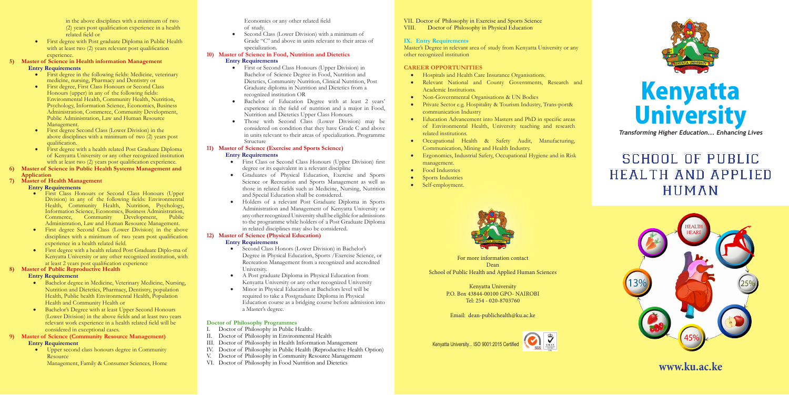

# SCHOOL OF PUBLIC HEALTH AND APPLIED HUMAN



in the above disciplines with a minimum of two (2) years post qualification experience in a health related field or

• First degree with Post graduate Diploma in Public Health with at least two (2) years relevant post qualification experience.

#### **5) Master of Science in Health information Management Entry Requirements**

- First degree in the following fields: Medicine, veterinary medicine, nursing, Pharmacy and Dentistry or
- First degree, First Class Honours or Second Class Honours (upper) in any of the following fields: Environmental Health, Community Health, Nutrition, Psychology, Information Science, Economics, Business Administration, Commerce, Community Development, Public Administration, Law and Human Resource Management.
- First degree Second Class (Lower Division) in the above disciplines with a minimum of two (2) years post qualification.
- First degree with a health related Post Graduate Diploma of Kenyatta University or any other recognized institution with at least two (2) years post qualification experience.
- **6) Master of Science in Public Health Systems Management and Application**

### **7) Master of Health Management**

#### **Entry Requirements**

- Upper second class honours degree in Community **Resource** 
	- Management, Family & Consumer Sciences, Home
- • First Class Honours or Second Class Honours (Upper Division) in any of the following fields: Environmental Health, Community Health, Nutrition, Psychology, Information Science, Economics, Business Administration, Commerce, Community Development, Public Administration, Law and Human Resource Management.
- • First degree Second Class (Lower Division) in the above disciplines with a minimum of two years post qualification experience in a health related field.
- First degree with a health related Post Graduate Diplo-ma of Kenyatta University or any other recognized institution, with at least 2 years post qualification experience
- First or Second Class Honours (Upper Division) in Bachelor of Science Degree in Food, Nutrition and Dietetics, Community Nutrition, Clinical Nutrition, Post Graduate diploma in Nutrition and Dietetics from a recognized institution OR
- • Bachelor of Education Degree with at least 2 years' experience in the field of nutrition and a major in Food, Nutrition and Dietetics Upper Class Honours.
- Those with Second Class (Lower Division) may be considered on condition that they have Grade C and above in units relevant to their areas of specialization. Programme Structure

#### **8) Master of Public Reproductive Health**

#### **Entry Requirement**

- First Class or Second Class Honours (Upper Division) first degree or its equivalent in a relevant discipline
- • Graduates of Physical Education, Exercise and Sports Science or Recreation and Sports Management as well as those in related fields such as Medicine, Nursing, Nutrition and Special Education shall be considered.
- • Holders of a relevant Post Graduate Diploma in Sports Administration and Management of Kenyatta University or any other recognized University shall be eligible for admissions to the programme while holders of a Post Graduate Diploma in related disciplines may also be considered.

- • Bachelor degree in Medicine, Veterinary Medicine, Nursing, Nutrition and Dietetics, Pharmacy, Dentistry, population Health, Public health Environmental Health, Population Health and Community Health or
- Bachelor's Degree with at least Upper Second Honours (Lower Division) in the above fields and at least two years relevant work experience in a health related field will be considered in exceptional cases.

#### **9) Master of Science (Community Resource Management) Entry Requirement**

Economics or any other related field of study.

• Second Class (Lower Division) with a minimum of Grade "C" and above in units relevant to their areas of specialization.

#### **10) Master of Science in Food, Nutrition and Dietetics**

#### **Entry Requirements**

# **11) Master of Science (Exercise and Sports Science)**

#### **Entry Requirements**

#### **12) Master of Science (Physical Education) Entry Requirements**

- • Second Class Honors (Lower Division) in Bachelor's Degree in Physical Education, Sports /Exercise Science, or Recreation Management from a recognized and accredited University.
- • A Post graduate Diploma in Physical Education from Kenyatta University or any other recognized University
- Minor in Physical Education at Bachelors level will be required to take a Postgraduate Diploma in Physical Education course as a bridging course before admission into a Master's degree.

#### **Doctor of Philosophy Programmes**

- I. Doctor of Philosophy in Public Health:
- II. Doctor of Philosophy in Environmental Health
- III. Doctor of Philosophy in Health Information Management
- IV. Doctor of Philosophy in Public Health (Reproductive Health Option)
- V. Doctor of Philosophy in Community Resource Management
- VI. Doctor of Philosophy in Food Nutrition and Dietetics

#### VII. Doctor of Philosophy in Exercise and Sports Science<br>VIII. Doctor of Philosophy in Physical Education Doctor of Philosophy in Physical Education

#### **IX. Entry Requirements**

Master's Degree in relevant area of study from Kenyatta University or any other recognized institution

#### **CAREER OPPORTUNITIES**

- Hospitals and Health Care Insurance Organisations.
- • Relevant National and County Governments, Research and Academic Institutions.
- Non-Governmental Organisations & UN Bodies
- Private Sector e.g. Hospitality & Tourism Industry, Trans-port& communication Industry
- • Education Advancement into Masters and PhD in specific areas of Environmental Health, University teaching and research related institutions.
- • Occupational Health & Safety Audit, Manufacturing, Communication, Mining and Health Industry.
- Ergonomics, Industrial Safety, Occupational Hygiene and in Risk management.
- Food Industries
- **Sports Industries**
- Self-employment.



# **www.ku.ac.ke**





For more information contact Dean School of Public Health and Applied Human Sciences

> Kenyatta University P.O. Box 43844-00100 GPO- NAIROBI Tel: 254 - 020-8703760

Email: dean-publichealth@ku.ac.ke